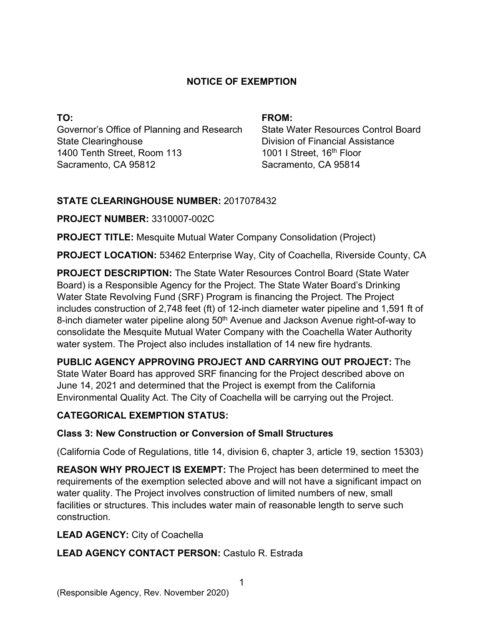### **NOTICE OF EXEMPTION**

**TO:**  Governor's Office of Planning and Research State Clearinghouse 1400 Tenth Street, Room 113 Sacramento, CA 95812

#### **FROM:**

State Water Resources Control Board Division of Financial Assistance 1001 I Street, 16<sup>th</sup> Floor Sacramento, CA 95814

### **STATE CLEARINGHOUSE NUMBER:** 2017078432

### **PROJECT NUMBER:** 3310007-002C

**PROJECT TITLE:** Mesquite Mutual Water Company Consolidation (Project)

**PROJECT LOCATION:** 53462 Enterprise Way, City of Coachella, Riverside County, CA

**PROJECT DESCRIPTION:** The State Water Resources Control Board (State Water Board) is a Responsible Agency for the Project. The State Water Board's Drinking Water State Revolving Fund (SRF) Program is financing the Project. The Project includes construction of 2,748 feet (ft) of 12-inch diameter water pipeline and 1,591 ft of 8-inch diameter water pipeline along 50<sup>th</sup> Avenue and Jackson Avenue right-of-way to consolidate the Mesquite Mutual Water Company with the Coachella Water Authority water system. The Project also includes installation of 14 new fire hydrants.

**PUBLIC AGENCY APPROVING PROJECT AND CARRYING OUT PROJECT:** The State Water Board has approved SRF financing for the Project described above on June 14, 2021 and determined that the Project is exempt from the California Environmental Quality Act. The City of Coachella will be carrying out the Project.

# **CATEGORICAL EXEMPTION STATUS:**

# **Class 3: New Construction or Conversion of Small Structures**

(California Code of Regulations, title 14, division 6, chapter 3, article 19, section 15303)

**REASON WHY PROJECT IS EXEMPT:** The Project has been determined to meet the requirements of the exemption selected above and will not have a significant impact on water quality. The Project involves construction of limited numbers of new, small facilities or structures. This includes water main of reasonable length to serve such construction.

# **LEAD AGENCY:** City of Coachella

# **LEAD AGENCY CONTACT PERSON:** Castulo R. Estrada